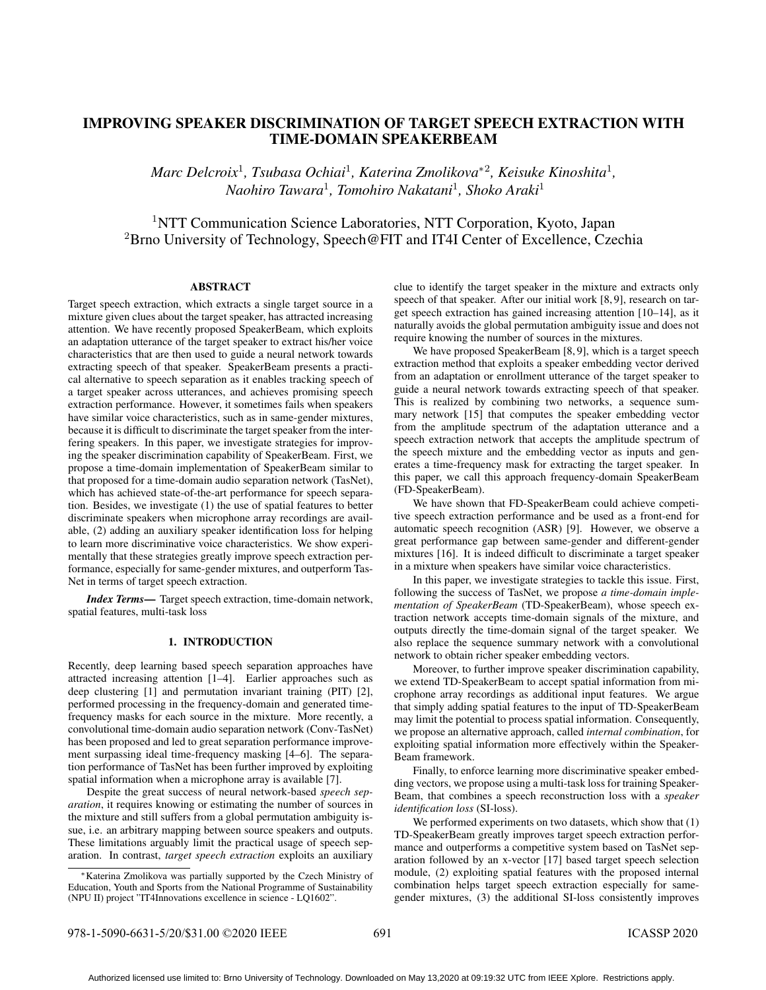# IMPROVING SPEAKER DISCRIMINATION OF TARGET SPEECH EXTRACTION WITH TIME-DOMAIN SPEAKERBEAM

*Marc Delcroix*<sup>1</sup> *, Tsubasa Ochiai*<sup>1</sup> *, Katerina Zmolikova*<sup>∗</sup><sup>2</sup> *, Keisuke Kinoshita*<sup>1</sup> *, Naohiro Tawara*<sup>1</sup> *, Tomohiro Nakatani*<sup>1</sup> *, Shoko Araki*<sup>1</sup>

<sup>1</sup>NTT Communication Science Laboratories, NTT Corporation, Kyoto, Japan <sup>2</sup>Brno University of Technology, Speech@FIT and IT4I Center of Excellence, Czechia

# ABSTRACT

Target speech extraction, which extracts a single target source in a mixture given clues about the target speaker, has attracted increasing attention. We have recently proposed SpeakerBeam, which exploits an adaptation utterance of the target speaker to extract his/her voice characteristics that are then used to guide a neural network towards extracting speech of that speaker. SpeakerBeam presents a practical alternative to speech separation as it enables tracking speech of a target speaker across utterances, and achieves promising speech extraction performance. However, it sometimes fails when speakers have similar voice characteristics, such as in same-gender mixtures, because it is difficult to discriminate the target speaker from the interfering speakers. In this paper, we investigate strategies for improving the speaker discrimination capability of SpeakerBeam. First, we propose a time-domain implementation of SpeakerBeam similar to that proposed for a time-domain audio separation network (TasNet), which has achieved state-of-the-art performance for speech separation. Besides, we investigate (1) the use of spatial features to better discriminate speakers when microphone array recordings are available, (2) adding an auxiliary speaker identification loss for helping to learn more discriminative voice characteristics. We show experimentally that these strategies greatly improve speech extraction performance, especially for same-gender mixtures, and outperform Tas-Net in terms of target speech extraction.

*Index Terms*— Target speech extraction, time-domain network, spatial features, multi-task loss

# 1. INTRODUCTION

Recently, deep learning based speech separation approaches have attracted increasing attention [1–4]. Earlier approaches such as deep clustering [1] and permutation invariant training (PIT) [2], performed processing in the frequency-domain and generated timefrequency masks for each source in the mixture. More recently, a convolutional time-domain audio separation network (Conv-TasNet) has been proposed and led to great separation performance improvement surpassing ideal time-frequency masking [4–6]. The separation performance of TasNet has been further improved by exploiting spatial information when a microphone array is available [7].

Despite the great success of neural network-based *speech separation*, it requires knowing or estimating the number of sources in the mixture and still suffers from a global permutation ambiguity issue, i.e. an arbitrary mapping between source speakers and outputs. These limitations arguably limit the practical usage of speech separation. In contrast, *target speech extraction* exploits an auxiliary clue to identify the target speaker in the mixture and extracts only speech of that speaker. After our initial work [8, 9], research on target speech extraction has gained increasing attention [10–14], as it naturally avoids the global permutation ambiguity issue and does not require knowing the number of sources in the mixtures.

We have proposed SpeakerBeam [8,9], which is a target speech extraction method that exploits a speaker embedding vector derived from an adaptation or enrollment utterance of the target speaker to guide a neural network towards extracting speech of that speaker. This is realized by combining two networks, a sequence summary network [15] that computes the speaker embedding vector from the amplitude spectrum of the adaptation utterance and a speech extraction network that accepts the amplitude spectrum of the speech mixture and the embedding vector as inputs and generates a time-frequency mask for extracting the target speaker. In this paper, we call this approach frequency-domain SpeakerBeam (FD-SpeakerBeam).

We have shown that FD-SpeakerBeam could achieve competitive speech extraction performance and be used as a front-end for automatic speech recognition (ASR) [9]. However, we observe a great performance gap between same-gender and different-gender mixtures [16]. It is indeed difficult to discriminate a target speaker in a mixture when speakers have similar voice characteristics.

In this paper, we investigate strategies to tackle this issue. First, following the success of TasNet, we propose *a time-domain implementation of SpeakerBeam* (TD-SpeakerBeam), whose speech extraction network accepts time-domain signals of the mixture, and outputs directly the time-domain signal of the target speaker. We also replace the sequence summary network with a convolutional network to obtain richer speaker embedding vectors.

Moreover, to further improve speaker discrimination capability, we extend TD-SpeakerBeam to accept spatial information from microphone array recordings as additional input features. We argue that simply adding spatial features to the input of TD-SpeakerBeam may limit the potential to process spatial information. Consequently, we propose an alternative approach, called *internal combination*, for exploiting spatial information more effectively within the Speaker-Beam framework.

Finally, to enforce learning more discriminative speaker embedding vectors, we propose using a multi-task loss for training Speaker-Beam, that combines a speech reconstruction loss with a *speaker identification loss* (SI-loss).

We performed experiments on two datasets, which show that  $(1)$ TD-SpeakerBeam greatly improves target speech extraction performance and outperforms a competitive system based on TasNet separation followed by an x-vector [17] based target speech selection module, (2) exploiting spatial features with the proposed internal combination helps target speech extraction especially for samegender mixtures, (3) the additional SI-loss consistently improves

<sup>∗</sup>Katerina Zmolikova was partially supported by the Czech Ministry of Education, Youth and Sports from the National Programme of Sustainability (NPU II) project "IT4Innovations excellence in science - LQ1602".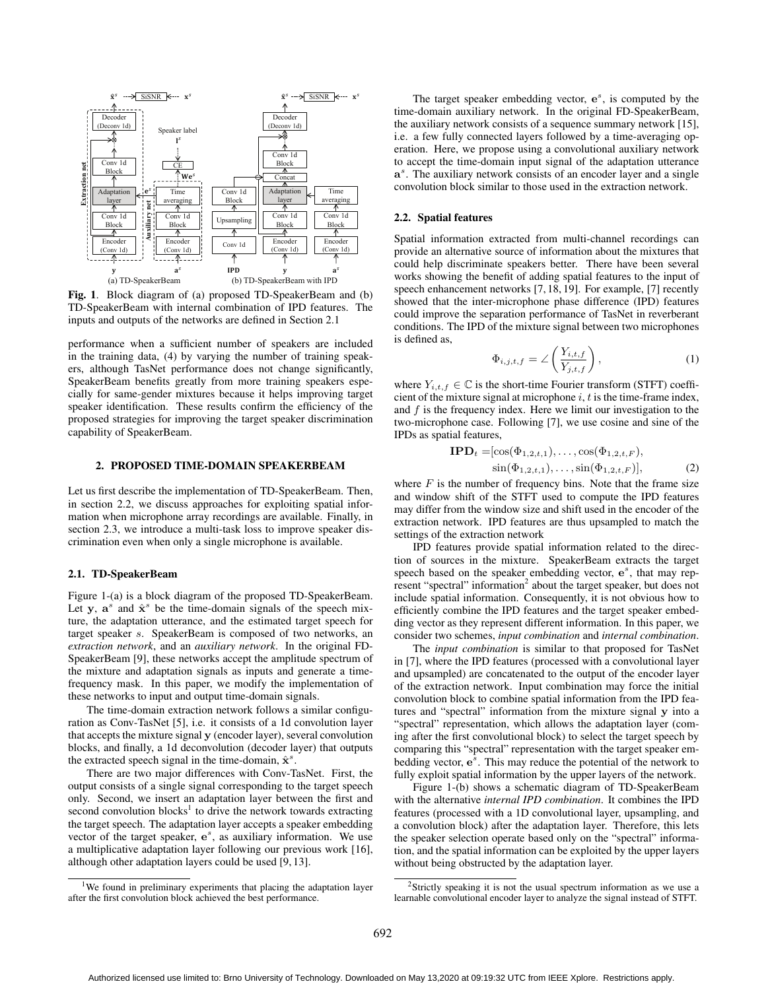

Fig. 1. Block diagram of (a) proposed TD-SpeakerBeam and (b) TD-SpeakerBeam with internal combination of IPD features. The inputs and outputs of the networks are defined in Section 2.1

performance when a sufficient number of speakers are included in the training data, (4) by varying the number of training speakers, although TasNet performance does not change significantly, SpeakerBeam benefits greatly from more training speakers especially for same-gender mixtures because it helps improving target speaker identification. These results confirm the efficiency of the proposed strategies for improving the target speaker discrimination capability of SpeakerBeam.

## 2. PROPOSED TIME-DOMAIN SPEAKERBEAM

Let us first describe the implementation of TD-SpeakerBeam. Then, in section 2.2, we discuss approaches for exploiting spatial information when microphone array recordings are available. Finally, in section 2.3, we introduce a multi-task loss to improve speaker discrimination even when only a single microphone is available.

#### 2.1. TD-SpeakerBeam

Figure 1-(a) is a block diagram of the proposed TD-SpeakerBeam. Let y,  $a^s$  and  $\hat{x}^s$  be the time-domain signals of the speech mixture, the adaptation utterance, and the estimated target speech for target speaker s. SpeakerBeam is composed of two networks, an *extraction network*, and an *auxiliary network*. In the original FD-SpeakerBeam [9], these networks accept the amplitude spectrum of the mixture and adaptation signals as inputs and generate a timefrequency mask. In this paper, we modify the implementation of these networks to input and output time-domain signals.

The time-domain extraction network follows a similar configuration as Conv-TasNet [5], i.e. it consists of a 1d convolution layer that accepts the mixture signal y (encoder layer), several convolution blocks, and finally, a 1d deconvolution (decoder layer) that outputs the extracted speech signal in the time-domain,  $\hat{\mathbf{x}}^s$ .

There are two major differences with Conv-TasNet. First, the output consists of a single signal corresponding to the target speech only. Second, we insert an adaptation layer between the first and second convolution blocks<sup>1</sup> to drive the network towards extracting the target speech. The adaptation layer accepts a speaker embedding vector of the target speaker,  $e^s$ , as auxiliary information. We use a multiplicative adaptation layer following our previous work [16], although other adaptation layers could be used [9, 13].

The target speaker embedding vector,  $e^s$ , is computed by the time-domain auxiliary network. In the original FD-SpeakerBeam, the auxiliary network consists of a sequence summary network [15], i.e. a few fully connected layers followed by a time-averaging operation. Here, we propose using a convolutional auxiliary network to accept the time-domain input signal of the adaptation utterance a<sup>s</sup>. The auxiliary network consists of an encoder layer and a single convolution block similar to those used in the extraction network.

#### 2.2. Spatial features

Spatial information extracted from multi-channel recordings can provide an alternative source of information about the mixtures that could help discriminate speakers better. There have been several works showing the benefit of adding spatial features to the input of speech enhancement networks [7, 18, 19]. For example, [7] recently showed that the inter-microphone phase difference (IPD) features could improve the separation performance of TasNet in reverberant conditions. The IPD of the mixture signal between two microphones is defined as,

$$
\Phi_{i,j,t,f} = \angle \left( \frac{Y_{i,t,f}}{Y_{j,t,f}} \right),\tag{1}
$$

where  $Y_{i,t,f} \in \mathbb{C}$  is the short-time Fourier transform (STFT) coefficient of the mixture signal at microphone  $i$ ,  $t$  is the time-frame index, and  $f$  is the frequency index. Here we limit our investigation to the two-microphone case. Following [7], we use cosine and sine of the IPDs as spatial features,

$$
\text{IPD}_{t} = [\cos(\Phi_{1,2,t,1}), \dots, \cos(\Phi_{1,2,t,F}),\n\sin(\Phi_{1,2,t,1}), \dots, \sin(\Phi_{1,2,t,F})],
$$
\n(2)

where  $F$  is the number of frequency bins. Note that the frame size and window shift of the STFT used to compute the IPD features may differ from the window size and shift used in the encoder of the extraction network. IPD features are thus upsampled to match the settings of the extraction network

IPD features provide spatial information related to the direction of sources in the mixture. SpeakerBeam extracts the target speech based on the speaker embedding vector,  $e^s$ , that may represent "spectral" information<sup>2</sup> about the target speaker, but does not include spatial information. Consequently, it is not obvious how to efficiently combine the IPD features and the target speaker embedding vector as they represent different information. In this paper, we consider two schemes, *input combination* and *internal combination*.

The *input combination* is similar to that proposed for TasNet in [7], where the IPD features (processed with a convolutional layer and upsampled) are concatenated to the output of the encoder layer of the extraction network. Input combination may force the initial convolution block to combine spatial information from the IPD features and "spectral" information from the mixture signal y into a "spectral" representation, which allows the adaptation layer (coming after the first convolutional block) to select the target speech by comparing this "spectral" representation with the target speaker embedding vector,  $e^{\hat{s}}$ . This may reduce the potential of the network to fully exploit spatial information by the upper layers of the network.

Figure 1-(b) shows a schematic diagram of TD-SpeakerBeam with the alternative *internal IPD combination*. It combines the IPD features (processed with a 1D convolutional layer, upsampling, and a convolution block) after the adaptation layer. Therefore, this lets the speaker selection operate based only on the "spectral" information, and the spatial information can be exploited by the upper layers without being obstructed by the adaptation layer.

<sup>&</sup>lt;sup>1</sup>We found in preliminary experiments that placing the adaptation layer after the first convolution block achieved the best performance.

<sup>&</sup>lt;sup>2</sup>Strictly speaking it is not the usual spectrum information as we use a learnable convolutional encoder layer to analyze the signal instead of STFT.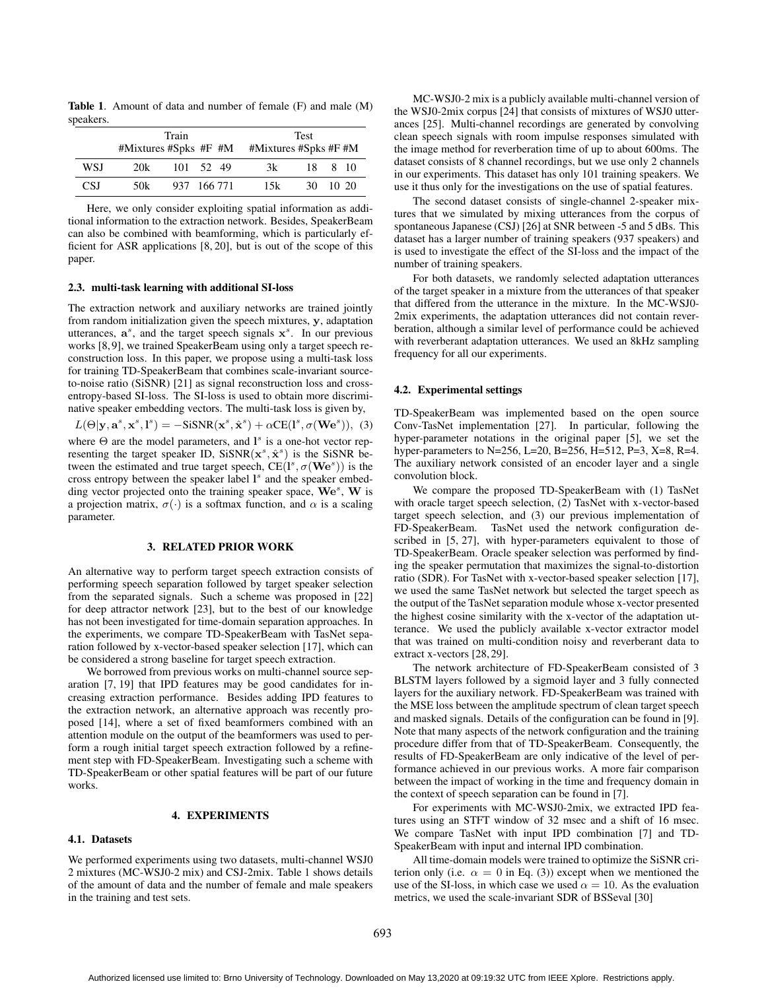Table 1. Amount of data and number of female (F) and male (M) speakers.

|     | Train |  |             | <b>Test</b> |                                                 |  |          |
|-----|-------|--|-------------|-------------|-------------------------------------------------|--|----------|
|     |       |  |             |             | $#Mixtures$ #Spks #F #M $#Mixtures$ #Spks #F #M |  |          |
| WSI | 20k   |  | 101 52 49   |             | 3k                                              |  | 18 8 10  |
| CSI | 50k   |  | 937 166 771 |             | 15k                                             |  | 30 10 20 |

Here, we only consider exploiting spatial information as additional information to the extraction network. Besides, SpeakerBeam can also be combined with beamforming, which is particularly efficient for ASR applications [8, 20], but is out of the scope of this paper.

### 2.3. multi-task learning with additional SI-loss

The extraction network and auxiliary networks are trained jointly from random initialization given the speech mixtures, y, adaptation utterances,  $a^s$ , and the target speech signals  $x^s$ . In our previous works [8, 9], we trained SpeakerBeam using only a target speech reconstruction loss. In this paper, we propose using a multi-task loss for training TD-SpeakerBeam that combines scale-invariant sourceto-noise ratio (SiSNR) [21] as signal reconstruction loss and crossentropy-based SI-loss. The SI-loss is used to obtain more discriminative speaker embedding vectors. The multi-task loss is given by,

$$
L(\Theta|\mathbf{y}, \mathbf{a}^s, \mathbf{x}^s, \mathbf{l}^s) = -\text{SiSNR}(\mathbf{x}^s, \hat{\mathbf{x}}^s) + \alpha \text{CE}(\mathbf{l}^s, \sigma(\mathbf{W} \mathbf{e}^s)), \tag{3}
$$

where  $\Theta$  are the model parameters, and  $\mathbf{l}^s$  is a one-hot vector representing the target speaker ID,  $SisNR(x^s, \hat{x}^s)$  is the SiSNR between the estimated and true target speech,  $CE(I^s, \sigma(\mathbf{W}e^s))$  is the cross entropy between the speaker label 1<sup>s</sup> and the speaker embedding vector projected onto the training speaker space, We<sup>s</sup>, W is a projection matrix,  $\sigma(\cdot)$  is a softmax function, and  $\alpha$  is a scaling parameter.

#### 3. RELATED PRIOR WORK

An alternative way to perform target speech extraction consists of performing speech separation followed by target speaker selection from the separated signals. Such a scheme was proposed in [22] for deep attractor network [23], but to the best of our knowledge has not been investigated for time-domain separation approaches. In the experiments, we compare TD-SpeakerBeam with TasNet separation followed by x-vector-based speaker selection [17], which can be considered a strong baseline for target speech extraction.

We borrowed from previous works on multi-channel source separation [7, 19] that IPD features may be good candidates for increasing extraction performance. Besides adding IPD features to the extraction network, an alternative approach was recently proposed [14], where a set of fixed beamformers combined with an attention module on the output of the beamformers was used to perform a rough initial target speech extraction followed by a refinement step with FD-SpeakerBeam. Investigating such a scheme with TD-SpeakerBeam or other spatial features will be part of our future works.

#### 4. EXPERIMENTS

### 4.1. Datasets

We performed experiments using two datasets, multi-channel WSJ0 2 mixtures (MC-WSJ0-2 mix) and CSJ-2mix. Table 1 shows details of the amount of data and the number of female and male speakers in the training and test sets.

MC-WSJ0-2 mix is a publicly available multi-channel version of the WSJ0-2mix corpus [24] that consists of mixtures of WSJ0 utterances [25]. Multi-channel recordings are generated by convolving clean speech signals with room impulse responses simulated with the image method for reverberation time of up to about 600ms. The dataset consists of 8 channel recordings, but we use only 2 channels in our experiments. This dataset has only 101 training speakers. We use it thus only for the investigations on the use of spatial features.

The second dataset consists of single-channel 2-speaker mixtures that we simulated by mixing utterances from the corpus of spontaneous Japanese (CSJ) [26] at SNR between -5 and 5 dBs. This dataset has a larger number of training speakers (937 speakers) and is used to investigate the effect of the SI-loss and the impact of the number of training speakers.

For both datasets, we randomly selected adaptation utterances of the target speaker in a mixture from the utterances of that speaker that differed from the utterance in the mixture. In the MC-WSJ0- 2mix experiments, the adaptation utterances did not contain reverberation, although a similar level of performance could be achieved with reverberant adaptation utterances. We used an 8kHz sampling frequency for all our experiments.

## 4.2. Experimental settings

TD-SpeakerBeam was implemented based on the open source Conv-TasNet implementation [27]. In particular, following the hyper-parameter notations in the original paper [5], we set the hyper-parameters to N=256, L=20, B=256, H=512, P=3, X=8, R=4. The auxiliary network consisted of an encoder layer and a single convolution block.

We compare the proposed TD-SpeakerBeam with (1) TasNet with oracle target speech selection, (2) TasNet with x-vector-based target speech selection, and (3) our previous implementation of FD-SpeakerBeam. TasNet used the network configuration described in [5, 27], with hyper-parameters equivalent to those of TD-SpeakerBeam. Oracle speaker selection was performed by finding the speaker permutation that maximizes the signal-to-distortion ratio (SDR). For TasNet with x-vector-based speaker selection [17], we used the same TasNet network but selected the target speech as the output of the TasNet separation module whose x-vector presented the highest cosine similarity with the x-vector of the adaptation utterance. We used the publicly available x-vector extractor model that was trained on multi-condition noisy and reverberant data to extract x-vectors [28, 29].

The network architecture of FD-SpeakerBeam consisted of 3 BLSTM layers followed by a sigmoid layer and 3 fully connected layers for the auxiliary network. FD-SpeakerBeam was trained with the MSE loss between the amplitude spectrum of clean target speech and masked signals. Details of the configuration can be found in [9]. Note that many aspects of the network configuration and the training procedure differ from that of TD-SpeakerBeam. Consequently, the results of FD-SpeakerBeam are only indicative of the level of performance achieved in our previous works. A more fair comparison between the impact of working in the time and frequency domain in the context of speech separation can be found in [7].

For experiments with MC-WSJ0-2mix, we extracted IPD features using an STFT window of 32 msec and a shift of 16 msec. We compare TasNet with input IPD combination [7] and TD-SpeakerBeam with input and internal IPD combination.

All time-domain models were trained to optimize the SiSNR criterion only (i.e.  $\alpha = 0$  in Eq. (3)) except when we mentioned the use of the SI-loss, in which case we used  $\alpha = 10$ . As the evaluation metrics, we used the scale-invariant SDR of BSSeval [30]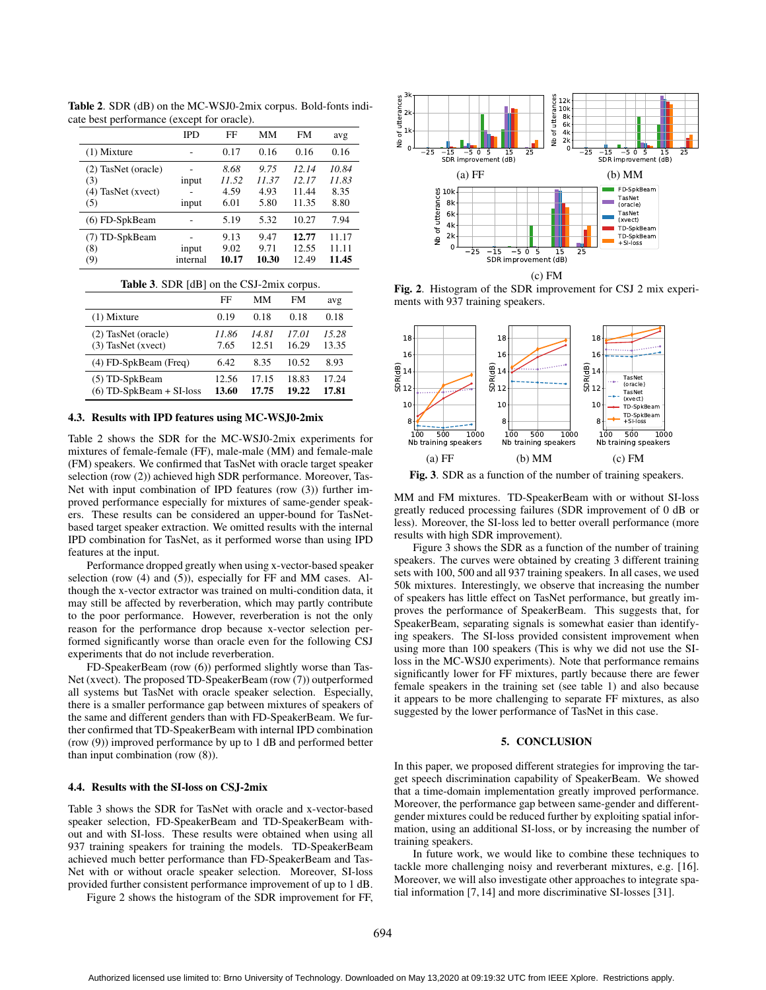|                                                           | <b>IPD</b>        | FF                            | MМ                            | <b>FM</b>                        | avg                            |
|-----------------------------------------------------------|-------------------|-------------------------------|-------------------------------|----------------------------------|--------------------------------|
| $(1)$ Mixture                                             |                   | 0.17                          | 0.16                          | 0.16                             | 0.16                           |
| (2) TasNet (oracle)<br>(3)<br>$(4)$ TasNet (xvect)<br>(5) | input<br>input    | 8.68<br>11.52<br>4.59<br>6.01 | 9.75<br>11.37<br>4.93<br>5.80 | 12.14<br>12.17<br>11.44<br>11.35 | 10.84<br>11.83<br>8.35<br>8.80 |
| $(6)$ FD-SpkBeam                                          |                   | 5.19                          | 5.32                          | 10.27                            | 7.94                           |
| (7) TD-SpkBeam<br>(8)<br>(9)                              | input<br>internal | 9.13<br>9.02<br>10.17         | 9.47<br>9.71<br>10.30         | 12.77<br>12.55<br>12.49          | 11.17<br>11.11<br>11.45        |

Table 2. SDR (dB) on the MC-WSJ0-2mix corpus. Bold-fonts indicate best performance (except for oracle).

|  |  |  |  | Table 3. SDR [dB] on the CSJ-2mix corpus. |  |
|--|--|--|--|-------------------------------------------|--|
|--|--|--|--|-------------------------------------------|--|

|                                              | FF             | MМ             | FM             | avg            |
|----------------------------------------------|----------------|----------------|----------------|----------------|
| $(1)$ Mixture                                | 0.19           | 0.18           | 0.18           | 0.18           |
| (2) TasNet (oracle)<br>(3) TasNet (xvect)    | 11.86<br>7.65  | 14.81<br>12.51 | 17.01<br>16.29 | 15.28<br>13.35 |
| (4) FD-SpkBeam (Freq)                        | 6.42           | 8.35           | 10.52          | 8.93           |
| (5) TD-SpkBeam<br>$(6)$ TD-SpkBeam + SI-loss | 12.56<br>13.60 | 17.15<br>17.75 | 18.83<br>19.22 | 17.24<br>17.81 |

#### 4.3. Results with IPD features using MC-WSJ0-2mix

Table 2 shows the SDR for the MC-WSJ0-2mix experiments for mixtures of female-female (FF), male-male (MM) and female-male (FM) speakers. We confirmed that TasNet with oracle target speaker selection (row (2)) achieved high SDR performance. Moreover, Tas-Net with input combination of IPD features (row (3)) further improved performance especially for mixtures of same-gender speakers. These results can be considered an upper-bound for TasNetbased target speaker extraction. We omitted results with the internal IPD combination for TasNet, as it performed worse than using IPD features at the input.

Performance dropped greatly when using x-vector-based speaker selection (row (4) and (5)), especially for FF and MM cases. Although the x-vector extractor was trained on multi-condition data, it may still be affected by reverberation, which may partly contribute to the poor performance. However, reverberation is not the only reason for the performance drop because x-vector selection performed significantly worse than oracle even for the following CSJ experiments that do not include reverberation.

FD-SpeakerBeam (row (6)) performed slightly worse than Tas-Net (xvect). The proposed TD-SpeakerBeam (row (7)) outperformed all systems but TasNet with oracle speaker selection. Especially, there is a smaller performance gap between mixtures of speakers of the same and different genders than with FD-SpeakerBeam. We further confirmed that TD-SpeakerBeam with internal IPD combination (row (9)) improved performance by up to 1 dB and performed better than input combination (row (8)).

#### 4.4. Results with the SI-loss on CSJ-2mix

Table 3 shows the SDR for TasNet with oracle and x-vector-based speaker selection, FD-SpeakerBeam and TD-SpeakerBeam without and with SI-loss. These results were obtained when using all 937 training speakers for training the models. TD-SpeakerBeam achieved much better performance than FD-SpeakerBeam and Tas-Net with or without oracle speaker selection. Moreover, SI-loss provided further consistent performance improvement of up to 1 dB.

Figure 2 shows the histogram of the SDR improvement for FF,







Fig. 3. SDR as a function of the number of training speakers.

MM and FM mixtures. TD-SpeakerBeam with or without SI-loss greatly reduced processing failures (SDR improvement of 0 dB or less). Moreover, the SI-loss led to better overall performance (more results with high SDR improvement).

Figure 3 shows the SDR as a function of the number of training speakers. The curves were obtained by creating 3 different training sets with 100, 500 and all 937 training speakers. In all cases, we used 50k mixtures. Interestingly, we observe that increasing the number of speakers has little effect on TasNet performance, but greatly improves the performance of SpeakerBeam. This suggests that, for SpeakerBeam, separating signals is somewhat easier than identifying speakers. The SI-loss provided consistent improvement when using more than 100 speakers (This is why we did not use the SIloss in the MC-WSJ0 experiments). Note that performance remains significantly lower for FF mixtures, partly because there are fewer female speakers in the training set (see table 1) and also because it appears to be more challenging to separate FF mixtures, as also suggested by the lower performance of TasNet in this case.

# 5. CONCLUSION

In this paper, we proposed different strategies for improving the target speech discrimination capability of SpeakerBeam. We showed that a time-domain implementation greatly improved performance. Moreover, the performance gap between same-gender and differentgender mixtures could be reduced further by exploiting spatial information, using an additional SI-loss, or by increasing the number of training speakers.

In future work, we would like to combine these techniques to tackle more challenging noisy and reverberant mixtures, e.g. [16]. Moreover, we will also investigate other approaches to integrate spatial information [7, 14] and more discriminative SI-losses [31].